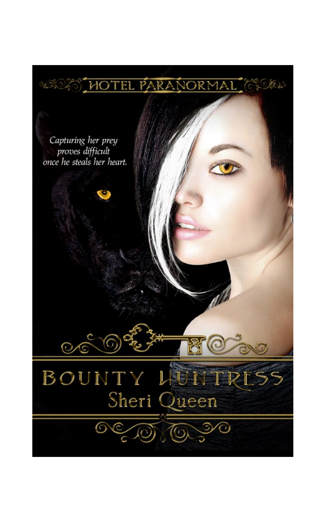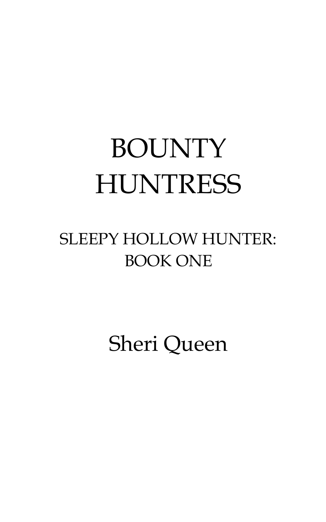# BOUNTY **HUNTRESS**

## SLEEPY HOLLOW HUNTER: BOOK ONE

Sheri Queen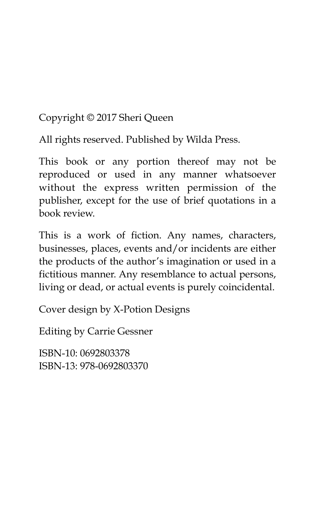Copyright © 2017 Sheri Queen

All rights reserved. Published by Wilda Press.

This book or any portion thereof may not be reproduced or used in any manner whatsoever without the express written permission of the publisher, except for the use of brief quotations in a book review.

This is a work of fiction. Any names, characters, businesses, places, events and/or incidents are either the products of the author's imagination or used in a fictitious manner. Any resemblance to actual persons, living or dead, or actual events is purely coincidental.

Cover design by X-Potion Designs

Editing by Carrie Gessner

ISBN-10: 0692803378 ISBN-13: 978-0692803370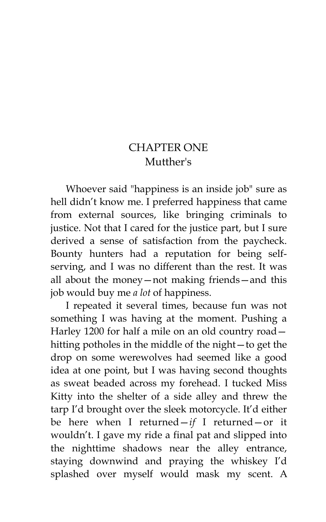#### CHAPTER ONE Mutther's

Whoever said "happiness is an inside job" sure as hell didn't know me. I preferred happiness that came from external sources, like bringing criminals to justice. Not that I cared for the justice part, but I sure derived a sense of satisfaction from the paycheck. Bounty hunters had a reputation for being selfserving, and I was no different than the rest. It was all about the money—not making friends—and this job would buy me *a lot* of happiness.

I repeated it several times, because fun was not something I was having at the moment. Pushing a Harley 1200 for half a mile on an old country road hitting potholes in the middle of the night—to get the drop on some werewolves had seemed like a good idea at one point, but I was having second thoughts as sweat beaded across my forehead. I tucked Miss Kitty into the shelter of a side alley and threw the tarp I'd brought over the sleek motorcycle. It'd either be here when I returned—*if* I returned—or it wouldn't. I gave my ride a final pat and slipped into the nighttime shadows near the alley entrance, staying downwind and praying the whiskey I'd splashed over myself would mask my scent. A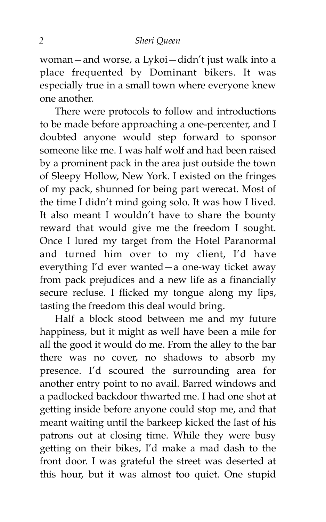woman—and worse, a Lykoi—didn't just walk into a place frequented by Dominant bikers. It was especially true in a small town where everyone knew one another.

There were protocols to follow and introductions to be made before approaching a one-percenter, and I doubted anyone would step forward to sponsor someone like me. I was half wolf and had been raised by a prominent pack in the area just outside the town of Sleepy Hollow, New York. I existed on the fringes of my pack, shunned for being part werecat. Most of the time I didn't mind going solo. It was how I lived. It also meant I wouldn't have to share the bounty reward that would give me the freedom I sought. Once I lured my target from the Hotel Paranormal and turned him over to my client, I'd have everything I'd ever wanted—a one-way ticket away from pack prejudices and a new life as a financially secure recluse. I flicked my tongue along my lips, tasting the freedom this deal would bring.

Half a block stood between me and my future happiness, but it might as well have been a mile for all the good it would do me. From the alley to the bar there was no cover, no shadows to absorb my presence. I'd scoured the surrounding area for another entry point to no avail. Barred windows and a padlocked backdoor thwarted me. I had one shot at getting inside before anyone could stop me, and that meant waiting until the barkeep kicked the last of his patrons out at closing time. While they were busy getting on their bikes, I'd make a mad dash to the front door. I was grateful the street was deserted at this hour, but it was almost too quiet. One stupid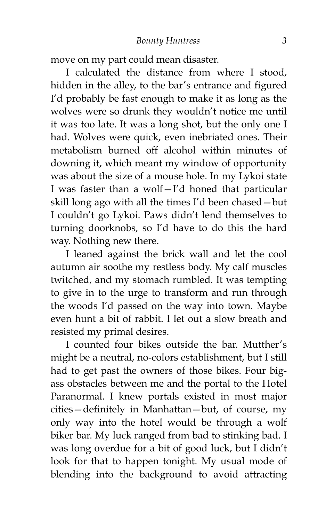move on my part could mean disaster.

I calculated the distance from where I stood, hidden in the alley, to the bar's entrance and figured I'd probably be fast enough to make it as long as the wolves were so drunk they wouldn't notice me until it was too late. It was a long shot, but the only one I had. Wolves were quick, even inebriated ones. Their metabolism burned off alcohol within minutes of downing it, which meant my window of opportunity was about the size of a mouse hole. In my Lykoi state I was faster than a wolf—I'd honed that particular skill long ago with all the times I'd been chased—but I couldn't go Lykoi. Paws didn't lend themselves to turning doorknobs, so I'd have to do this the hard way. Nothing new there.

I leaned against the brick wall and let the cool autumn air soothe my restless body. My calf muscles twitched, and my stomach rumbled. It was tempting to give in to the urge to transform and run through the woods I'd passed on the way into town. Maybe even hunt a bit of rabbit. I let out a slow breath and resisted my primal desires.

I counted four bikes outside the bar. Mutther's might be a neutral, no-colors establishment, but I still had to get past the owners of those bikes. Four bigass obstacles between me and the portal to the Hotel Paranormal. I knew portals existed in most major cities—definitely in Manhattan—but, of course, my only way into the hotel would be through a wolf biker bar. My luck ranged from bad to stinking bad. I was long overdue for a bit of good luck, but I didn't look for that to happen tonight. My usual mode of blending into the background to avoid attracting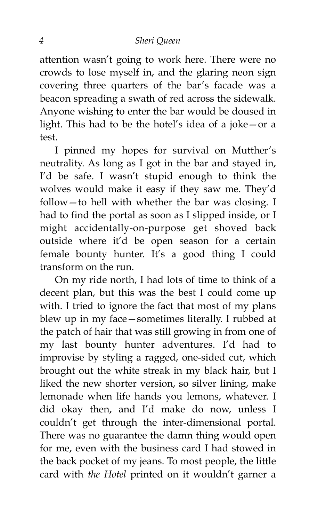attention wasn't going to work here. There were no crowds to lose myself in, and the glaring neon sign covering three quarters of the bar's facade was a beacon spreading a swath of red across the sidewalk. Anyone wishing to enter the bar would be doused in light. This had to be the hotel's idea of a joke—or a test.

I pinned my hopes for survival on Mutther's neutrality. As long as I got in the bar and stayed in, I'd be safe. I wasn't stupid enough to think the wolves would make it easy if they saw me. They'd follow—to hell with whether the bar was closing. I had to find the portal as soon as I slipped inside, or I might accidentally-on-purpose get shoved back outside where it'd be open season for a certain female bounty hunter. It's a good thing I could transform on the run.

On my ride north, I had lots of time to think of a decent plan, but this was the best I could come up with. I tried to ignore the fact that most of my plans blew up in my face—sometimes literally. I rubbed at the patch of hair that was still growing in from one of my last bounty hunter adventures. I'd had to improvise by styling a ragged, one-sided cut, which brought out the white streak in my black hair, but I liked the new shorter version, so silver lining, make lemonade when life hands you lemons, whatever. I did okay then, and I'd make do now, unless I couldn't get through the inter-dimensional portal. There was no guarantee the damn thing would open for me, even with the business card I had stowed in the back pocket of my jeans. To most people, the little card with *the Hotel* printed on it wouldn't garner a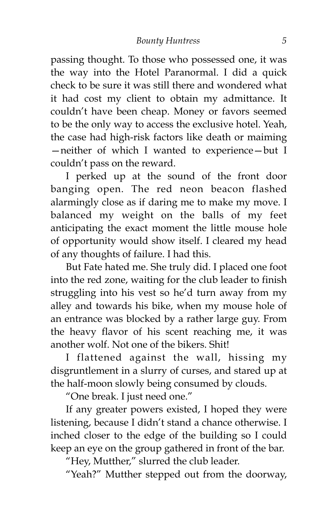passing thought. To those who possessed one, it was the way into the Hotel Paranormal. I did a quick check to be sure it was still there and wondered what it had cost my client to obtain my admittance. It couldn't have been cheap. Money or favors seemed to be the only way to access the exclusive hotel. Yeah, the case had high-risk factors like death or maiming —neither of which I wanted to experience—but I couldn't pass on the reward.

I perked up at the sound of the front door banging open. The red neon beacon flashed alarmingly close as if daring me to make my move. I balanced my weight on the balls of my feet anticipating the exact moment the little mouse hole of opportunity would show itself. I cleared my head of any thoughts of failure. I had this.

But Fate hated me. She truly did. I placed one foot into the red zone, waiting for the club leader to finish struggling into his vest so he'd turn away from my alley and towards his bike, when my mouse hole of an entrance was blocked by a rather large guy. From the heavy flavor of his scent reaching me, it was another wolf. Not one of the bikers. Shit!

I flattened against the wall, hissing my disgruntlement in a slurry of curses, and stared up at the half-moon slowly being consumed by clouds.

"One break. I just need one."

If any greater powers existed, I hoped they were listening, because I didn't stand a chance otherwise. I inched closer to the edge of the building so I could keep an eye on the group gathered in front of the bar.

"Hey, Mutther," slurred the club leader.

"Yeah?" Mutther stepped out from the doorway,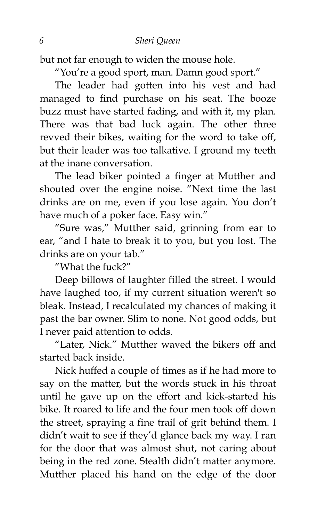but not far enough to widen the mouse hole.

"You're a good sport, man. Damn good sport."

The leader had gotten into his vest and had managed to find purchase on his seat. The booze buzz must have started fading, and with it, my plan. There was that bad luck again. The other three revved their bikes, waiting for the word to take off, but their leader was too talkative. I ground my teeth at the inane conversation.

The lead biker pointed a finger at Mutther and shouted over the engine noise. "Next time the last drinks are on me, even if you lose again. You don't have much of a poker face. Easy win."

"Sure was," Mutther said, grinning from ear to ear, "and I hate to break it to you, but you lost. The drinks are on your tab."

"What the fuck?"

Deep billows of laughter filled the street. I would have laughed too, if my current situation weren't so bleak. Instead, I recalculated my chances of making it past the bar owner. Slim to none. Not good odds, but I never paid attention to odds.

"Later, Nick." Mutther waved the bikers off and started back inside.

Nick huffed a couple of times as if he had more to say on the matter, but the words stuck in his throat until he gave up on the effort and kick-started his bike. It roared to life and the four men took off down the street, spraying a fine trail of grit behind them. I didn't wait to see if they'd glance back my way. I ran for the door that was almost shut, not caring about being in the red zone. Stealth didn't matter anymore. Mutther placed his hand on the edge of the door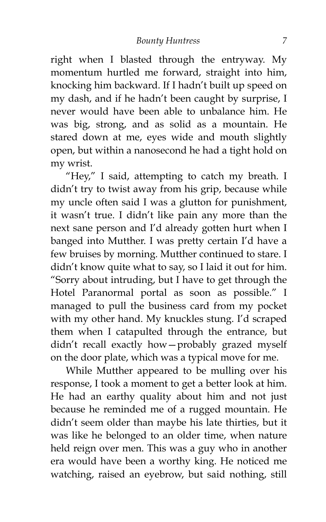right when I blasted through the entryway. My momentum hurtled me forward, straight into him, knocking him backward. If I hadn't built up speed on my dash, and if he hadn't been caught by surprise, I never would have been able to unbalance him. He was big, strong, and as solid as a mountain. He stared down at me, eyes wide and mouth slightly open, but within a nanosecond he had a tight hold on my wrist.

"Hey," I said, attempting to catch my breath. I didn't try to twist away from his grip, because while my uncle often said I was a glutton for punishment, it wasn't true. I didn't like pain any more than the next sane person and I'd already gotten hurt when I banged into Mutther. I was pretty certain I'd have a few bruises by morning. Mutther continued to stare. I didn't know quite what to say, so I laid it out for him. "Sorry about intruding, but I have to get through the Hotel Paranormal portal as soon as possible." I managed to pull the business card from my pocket with my other hand. My knuckles stung. I'd scraped them when I catapulted through the entrance, but didn't recall exactly how—probably grazed myself on the door plate, which was a typical move for me.

While Mutther appeared to be mulling over his response, I took a moment to get a better look at him. He had an earthy quality about him and not just because he reminded me of a rugged mountain. He didn't seem older than maybe his late thirties, but it was like he belonged to an older time, when nature held reign over men. This was a guy who in another era would have been a worthy king. He noticed me watching, raised an eyebrow, but said nothing, still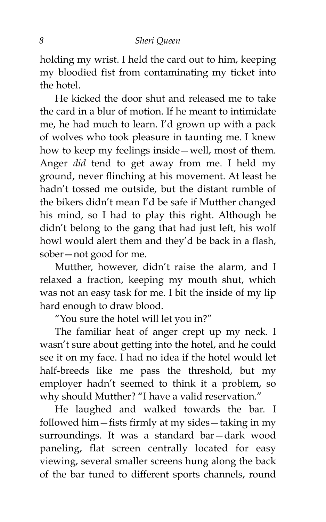holding my wrist. I held the card out to him, keeping my bloodied fist from contaminating my ticket into the hotel.

He kicked the door shut and released me to take the card in a blur of motion. If he meant to intimidate me, he had much to learn. I'd grown up with a pack of wolves who took pleasure in taunting me. I knew how to keep my feelings inside—well, most of them. Anger *did* tend to get away from me. I held my ground, never flinching at his movement. At least he hadn't tossed me outside, but the distant rumble of the bikers didn't mean I'd be safe if Mutther changed his mind, so I had to play this right. Although he didn't belong to the gang that had just left, his wolf howl would alert them and they'd be back in a flash, sober—not good for me.

Mutther, however, didn't raise the alarm, and I relaxed a fraction, keeping my mouth shut, which was not an easy task for me. I bit the inside of my lip hard enough to draw blood.

"You sure the hotel will let you in?"

The familiar heat of anger crept up my neck. I wasn't sure about getting into the hotel, and he could see it on my face. I had no idea if the hotel would let half-breeds like me pass the threshold, but my employer hadn't seemed to think it a problem, so why should Mutther? "I have a valid reservation."

He laughed and walked towards the bar. I followed him—fists firmly at my sides—taking in my surroundings. It was a standard bar—dark wood paneling, flat screen centrally located for easy viewing, several smaller screens hung along the back of the bar tuned to different sports channels, round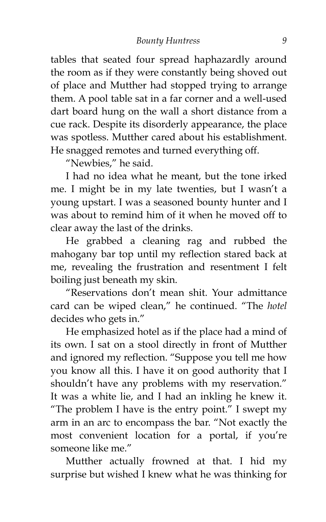tables that seated four spread haphazardly around the room as if they were constantly being shoved out of place and Mutther had stopped trying to arrange them. A pool table sat in a far corner and a well-used dart board hung on the wall a short distance from a cue rack. Despite its disorderly appearance, the place was spotless. Mutther cared about his establishment. He snagged remotes and turned everything off.

"Newbies," he said.

I had no idea what he meant, but the tone irked me. I might be in my late twenties, but I wasn't a young upstart. I was a seasoned bounty hunter and I was about to remind him of it when he moved off to clear away the last of the drinks.

He grabbed a cleaning rag and rubbed the mahogany bar top until my reflection stared back at me, revealing the frustration and resentment I felt boiling just beneath my skin.

"Reservations don't mean shit. Your admittance card can be wiped clean," he continued. "The *hotel*  decides who gets in."

He emphasized hotel as if the place had a mind of its own. I sat on a stool directly in front of Mutther and ignored my reflection. "Suppose you tell me how you know all this. I have it on good authority that I shouldn't have any problems with my reservation." It was a white lie, and I had an inkling he knew it. "The problem I have is the entry point." I swept my arm in an arc to encompass the bar. "Not exactly the most convenient location for a portal, if you're someone like me."

Mutther actually frowned at that. I hid my surprise but wished I knew what he was thinking for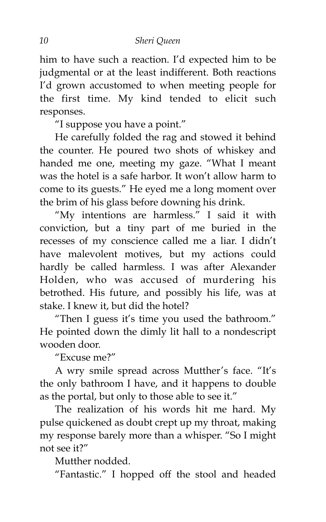him to have such a reaction. I'd expected him to be judgmental or at the least indifferent. Both reactions I'd grown accustomed to when meeting people for the first time. My kind tended to elicit such responses.

"I suppose you have a point."

He carefully folded the rag and stowed it behind the counter. He poured two shots of whiskey and handed me one, meeting my gaze. "What I meant was the hotel is a safe harbor. It won't allow harm to come to its guests." He eyed me a long moment over the brim of his glass before downing his drink.

"My intentions are harmless." I said it with conviction, but a tiny part of me buried in the recesses of my conscience called me a liar. I didn't have malevolent motives, but my actions could hardly be called harmless. I was after Alexander Holden, who was accused of murdering his betrothed. His future, and possibly his life, was at stake. I knew it, but did the hotel?

"Then I guess it's time you used the bathroom." He pointed down the dimly lit hall to a nondescript wooden door.

"Excuse me?"

A wry smile spread across Mutther's face. "It's the only bathroom I have, and it happens to double as the portal, but only to those able to see it."

The realization of his words hit me hard. My pulse quickened as doubt crept up my throat, making my response barely more than a whisper. "So I might not see it?"

Mutther nodded.

"Fantastic." I hopped off the stool and headed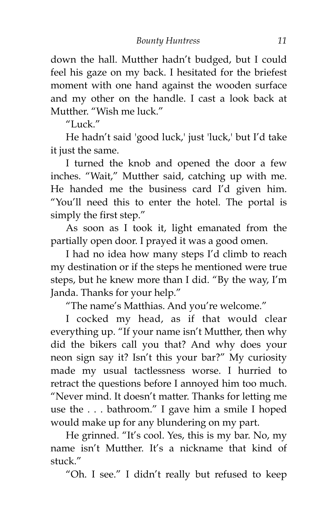down the hall. Mutther hadn't budged, but I could feel his gaze on my back. I hesitated for the briefest moment with one hand against the wooden surface and my other on the handle. I cast a look back at Mutther. "Wish me luck."

"Luck."

He hadn't said 'good luck,' just 'luck,' but I'd take it just the same.

I turned the knob and opened the door a few inches. "Wait," Mutther said, catching up with me. He handed me the business card I'd given him. "You'll need this to enter the hotel. The portal is simply the first step."

As soon as I took it, light emanated from the partially open door. I prayed it was a good omen.

I had no idea how many steps I'd climb to reach my destination or if the steps he mentioned were true steps, but he knew more than I did. "By the way, I'm Janda. Thanks for your help."

"The name's Matthias. And you're welcome."

I cocked my head, as if that would clear everything up. "If your name isn't Mutther, then why did the bikers call you that? And why does your neon sign say it? Isn't this your bar?" My curiosity made my usual tactlessness worse. I hurried to retract the questions before I annoyed him too much. "Never mind. It doesn't matter. Thanks for letting me use the . . . bathroom." I gave him a smile I hoped would make up for any blundering on my part.

He grinned. "It's cool. Yes, this is my bar. No, my name isn't Mutther. It's a nickname that kind of stuck."

"Oh. I see." I didn't really but refused to keep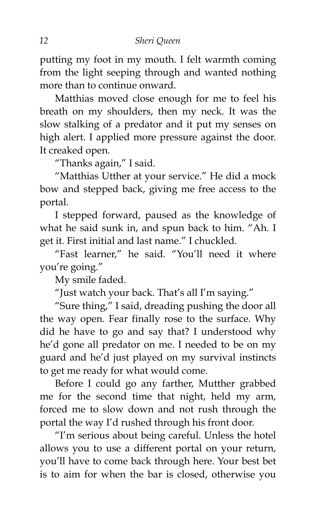putting my foot in my mouth. I felt warmth coming from the light seeping through and wanted nothing more than to continue onward.

Matthias moved close enough for me to feel his breath on my shoulders, then my neck. It was the slow stalking of a predator and it put my senses on high alert. I applied more pressure against the door. It creaked open.

"Thanks again," I said.

"Matthias Utther at your service." He did a mock bow and stepped back, giving me free access to the portal.

I stepped forward, paused as the knowledge of what he said sunk in, and spun back to him. "Ah. I get it. First initial and last name." I chuckled.

"Fast learner," he said. "You'll need it where you're going."

My smile faded.

"Just watch your back. That's all I'm saying."

"Sure thing," I said, dreading pushing the door all the way open. Fear finally rose to the surface. Why did he have to go and say that? I understood why he'd gone all predator on me. I needed to be on my guard and he'd just played on my survival instincts to get me ready for what would come.

Before I could go any farther, Mutther grabbed me for the second time that night, held my arm, forced me to slow down and not rush through the portal the way I'd rushed through his front door.

"I'm serious about being careful. Unless the hotel allows you to use a different portal on your return, you'll have to come back through here. Your best bet is to aim for when the bar is closed, otherwise you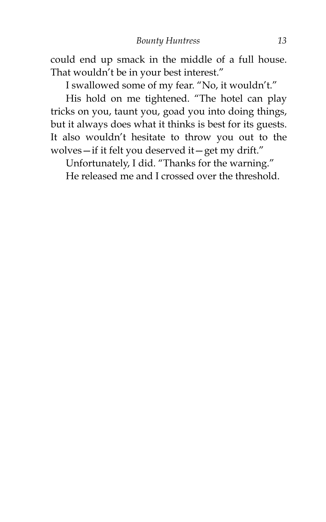could end up smack in the middle of a full house. That wouldn't be in your best interest."

I swallowed some of my fear. "No, it wouldn't."

His hold on me tightened. "The hotel can play tricks on you, taunt you, goad you into doing things, but it always does what it thinks is best for its guests. It also wouldn't hesitate to throw you out to the wolves—if it felt you deserved it—get my drift."

Unfortunately, I did. "Thanks for the warning." He released me and I crossed over the threshold.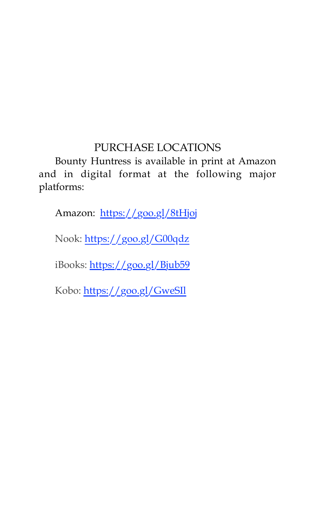### PURCHASE LOCATIONS

Bounty Huntress is available in print at Amazon and in digital format at the following major platforms:

Amazon: <https://goo.gl/8tHjoj>

Nook: <https://goo.gl/G00qdz>

iBooks: <https://goo.gl/Bjub59>

Kobo:<https://goo.gl/GweSIl>